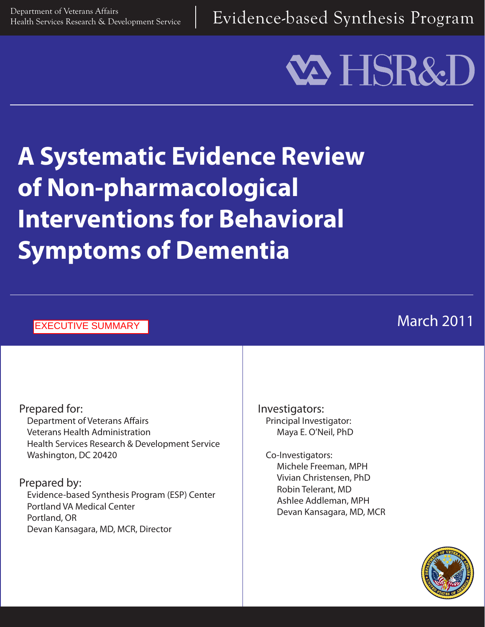Department of Veterans Affairs<br>Health Services Research & Development Service  $\parallel$  Evidence-based Synthesis Program

# **VA HSR&I**

## **A Systematic Evidence Review of Non-pharmacological Interventions for Behavioral Symptoms of Dementia**

#### EXECUTIVE SUMMARY

#### Prepared for: Department of Veterans Affairs Veterans Health Administration Health Services Research & Development Service Washington, DC 20420

#### Prepared by:

Evidence-based Synthesis Program (ESP) Center Portland VA Medical Center Portland, OR Devan Kansagara, MD, MCR, Director

Investigators: Principal Investigator: Maya E. O'Neil, PhD

Co-Investigators: Michele Freeman, MPH Vivian Christensen, PhD Robin Telerant, MD Ashlee Addleman, MPH Devan Kansagara, MD, MCR



### March 2011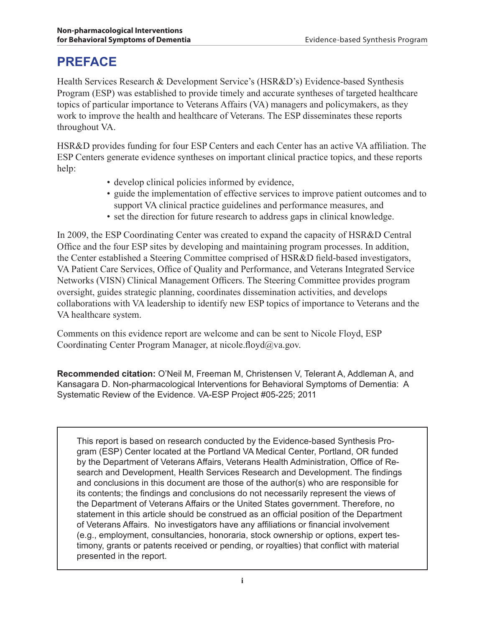#### **PREFACE**

Health Services Research & Development Service's (HSR&D's) Evidence-based Synthesis Program (ESP) was established to provide timely and accurate syntheses of targeted healthcare topics of particular importance to Veterans Affairs (VA) managers and policymakers, as they work to improve the health and healthcare of Veterans. The ESP disseminates these reports throughout VA.

HSR&D provides funding for four ESP Centers and each Center has an active VA affiliation. The ESP Centers generate evidence syntheses on important clinical practice topics, and these reports help:

- develop clinical policies informed by evidence,
- guide the implementation of effective services to improve patient outcomes and to support VA clinical practice guidelines and performance measures, and
- set the direction for future research to address gaps in clinical knowledge.

In 2009, the ESP Coordinating Center was created to expand the capacity of HSR&D Central Office and the four ESP sites by developing and maintaining program processes. In addition, the Center established a Steering Committee comprised of HSR&D field-based investigators, VA Patient Care Services, Office of Quality and Performance, and Veterans Integrated Service Networks (VISN) Clinical Management Officers. The Steering Committee provides program oversight, guides strategic planning, coordinates dissemination activities, and develops collaborations with VA leadership to identify new ESP topics of importance to Veterans and the VA healthcare system.

Comments on this evidence report are welcome and can be sent to Nicole Floyd, ESP Coordinating Center Program Manager, at nicole.floyd@va.gov.

**Recommended citation:** O'Neil M, Freeman M, Christensen V, Telerant A, Addleman A, and Kansagara D. Non-pharmacological Interventions for Behavioral Symptoms of Dementia: A Systematic Review of the Evidence. VA-ESP Project #05-225; 2011

This report is based on research conducted by the Evidence-based Synthesis Program (ESP) Center located at the Portland VA Medical Center, Portland, OR funded by the Department of Veterans Affairs, Veterans Health Administration, Office of Research and Development, Health Services Research and Development. The findings and conclusions in this document are those of the author(s) who are responsible for its contents; the findings and conclusions do not necessarily represent the views of the Department of Veterans Affairs or the United States government. Therefore, no statement in this article should be construed as an official position of the Department of Veterans Affairs. No investigators have any affiliations or financial involvement (e.g., employment, consultancies, honoraria, stock ownership or options, expert testimony, grants or patents received or pending, or royalties) that conflict with material presented in the report.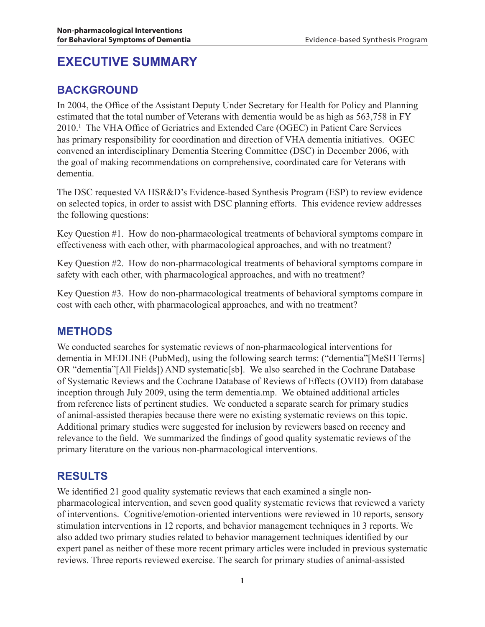#### **EXECUTIVE SUMMARY**

#### **BACKGROUND**

In 2004, the Office of the Assistant Deputy Under Secretary for Health for Policy and Planning estimated that the total number of Veterans with dementia would be as high as 563,758 in FY 2010.1 The VHA Office of Geriatrics and Extended Care (OGEC) in Patient Care Services has primary responsibility for coordination and direction of VHA dementia initiatives. OGEC convened an interdisciplinary Dementia Steering Committee (DSC) in December 2006, with the goal of making recommendations on comprehensive, coordinated care for Veterans with dementia.

The DSC requested VA HSR&D's Evidence-based Synthesis Program (ESP) to review evidence on selected topics, in order to assist with DSC planning efforts. This evidence review addresses the following questions:

Key Question #1. How do non-pharmacological treatments of behavioral symptoms compare in effectiveness with each other, with pharmacological approaches, and with no treatment?

Key Question #2. How do non-pharmacological treatments of behavioral symptoms compare in safety with each other, with pharmacological approaches, and with no treatment?

Key Question #3. How do non-pharmacological treatments of behavioral symptoms compare in cost with each other, with pharmacological approaches, and with no treatment?

#### **METHODS**

We conducted searches for systematic reviews of non-pharmacological interventions for dementia in MEDLINE (PubMed), using the following search terms: ("dementia"[MeSH Terms] OR "dementia"[All Fields]) AND systematic[sb]. We also searched in the Cochrane Database of Systematic Reviews and the Cochrane Database of Reviews of Effects (OVID) from database inception through July 2009, using the term dementia.mp. We obtained additional articles from reference lists of pertinent studies. We conducted a separate search for primary studies of animal-assisted therapies because there were no existing systematic reviews on this topic. Additional primary studies were suggested for inclusion by reviewers based on recency and relevance to the field. We summarized the findings of good quality systematic reviews of the primary literature on the various non-pharmacological interventions.

#### **RESULTS**

We identified 21 good quality systematic reviews that each examined a single nonpharmacological intervention, and seven good quality systematic reviews that reviewed a variety of interventions. Cognitive/emotion-oriented interventions were reviewed in 10 reports, sensory stimulation interventions in 12 reports, and behavior management techniques in 3 reports. We also added two primary studies related to behavior management techniques identified by our expert panel as neither of these more recent primary articles were included in previous systematic reviews. Three reports reviewed exercise. The search for primary studies of animal-assisted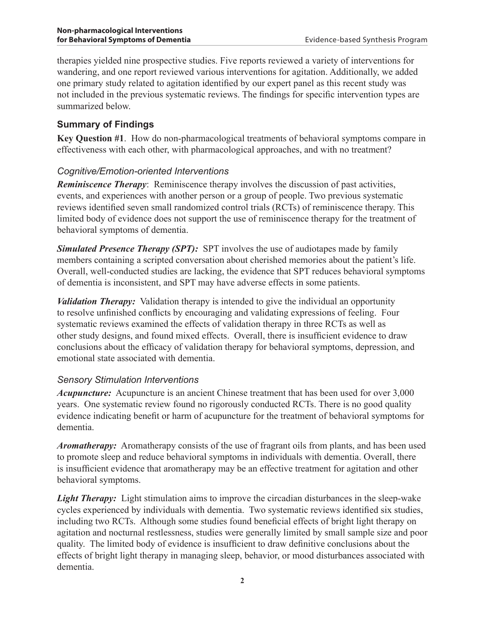therapies yielded nine prospective studies. Five reports reviewed a variety of interventions for wandering, and one report reviewed various interventions for agitation. Additionally, we added one primary study related to agitation identified by our expert panel as this recent study was not included in the previous systematic reviews. The findings for specific intervention types are summarized below.

#### **Summary of Findings**

**Key Question #1**. How do non-pharmacological treatments of behavioral symptoms compare in effectiveness with each other, with pharmacological approaches, and with no treatment?

#### *Cognitive/Emotion-oriented Interventions*

*Reminiscence Therapy*: Reminiscence therapy involves the discussion of past activities, events, and experiences with another person or a group of people. Two previous systematic reviews identified seven small randomized control trials (RCTs) of reminiscence therapy. This limited body of evidence does not support the use of reminiscence therapy for the treatment of behavioral symptoms of dementia.

**Simulated Presence Therapy (SPT):** SPT involves the use of audiotapes made by family members containing a scripted conversation about cherished memories about the patient's life. Overall, well-conducted studies are lacking, the evidence that SPT reduces behavioral symptoms of dementia is inconsistent, and SPT may have adverse effects in some patients.

*Validation Therapy:* Validation therapy is intended to give the individual an opportunity to resolve unfinished conflicts by encouraging and validating expressions of feeling. Four systematic reviews examined the effects of validation therapy in three RCTs as well as other study designs, and found mixed effects. Overall, there is insufficient evidence to draw conclusions about the efficacy of validation therapy for behavioral symptoms, depression, and emotional state associated with dementia.

#### *Sensory Stimulation Interventions*

*Acupuncture:* Acupuncture is an ancient Chinese treatment that has been used for over 3,000 years. One systematic review found no rigorously conducted RCTs. There is no good quality evidence indicating benefit or harm of acupuncture for the treatment of behavioral symptoms for dementia.

*Aromatherapy:* Aromatherapy consists of the use of fragrant oils from plants, and has been used to promote sleep and reduce behavioral symptoms in individuals with dementia. Overall, there is insufficient evidence that aromatherapy may be an effective treatment for agitation and other behavioral symptoms.

*Light Therapy:* Light stimulation aims to improve the circadian disturbances in the sleep-wake cycles experienced by individuals with dementia. Two systematic reviews identified six studies, including two RCTs. Although some studies found beneficial effects of bright light therapy on agitation and nocturnal restlessness, studies were generally limited by small sample size and poor quality. The limited body of evidence is insufficient to draw definitive conclusions about the effects of bright light therapy in managing sleep, behavior, or mood disturbances associated with dementia.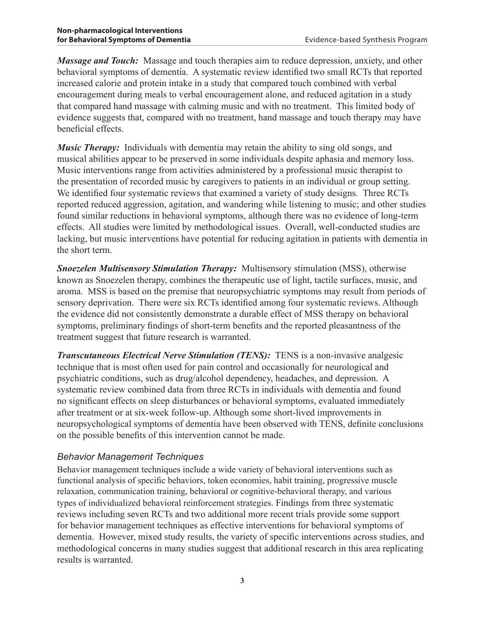*Massage and Touch:* Massage and touch therapies aim to reduce depression, anxiety, and other behavioral symptoms of dementia. A systematic review identified two small RCTs that reported increased calorie and protein intake in a study that compared touch combined with verbal encouragement during meals to verbal encouragement alone, and reduced agitation in a study that compared hand massage with calming music and with no treatment. This limited body of evidence suggests that, compared with no treatment, hand massage and touch therapy may have beneficial effects.

*Music Therapy:* Individuals with dementia may retain the ability to sing old songs, and musical abilities appear to be preserved in some individuals despite aphasia and memory loss. Music interventions range from activities administered by a professional music therapist to the presentation of recorded music by caregivers to patients in an individual or group setting. We identified four systematic reviews that examined a variety of study designs. Three RCTs reported reduced aggression, agitation, and wandering while listening to music; and other studies found similar reductions in behavioral symptoms, although there was no evidence of long-term effects. All studies were limited by methodological issues. Overall, well-conducted studies are lacking, but music interventions have potential for reducing agitation in patients with dementia in the short term.

*Snoezelen Multisensory Stimulation Therapy:* Multisensory stimulation (MSS), otherwise known as Snoezelen therapy, combines the therapeutic use of light, tactile surfaces, music, and aroma. MSS is based on the premise that neuropsychiatric symptoms may result from periods of sensory deprivation. There were six RCTs identified among four systematic reviews. Although the evidence did not consistently demonstrate a durable effect of MSS therapy on behavioral symptoms, preliminary findings of short-term benefits and the reported pleasantness of the treatment suggest that future research is warranted.

*Transcutaneous Electrical Nerve Stimulation (TENS): TENS is a non-invasive analgesic* technique that is most often used for pain control and occasionally for neurological and psychiatric conditions, such as drug/alcohol dependency, headaches, and depression. A systematic review combined data from three RCTs in individuals with dementia and found no significant effects on sleep disturbances or behavioral symptoms, evaluated immediately after treatment or at six-week follow-up. Although some short-lived improvements in neuropsychological symptoms of dementia have been observed with TENS, definite conclusions on the possible benefits of this intervention cannot be made.

#### *Behavior Management Techniques*

Behavior management techniques include a wide variety of behavioral interventions such as functional analysis of specific behaviors, token economies, habit training, progressive muscle relaxation, communication training, behavioral or cognitive-behavioral therapy, and various types of individualized behavioral reinforcement strategies. Findings from three systematic reviews including seven RCTs and two additional more recent trials provide some support for behavior management techniques as effective interventions for behavioral symptoms of dementia. However, mixed study results, the variety of specific interventions across studies, and methodological concerns in many studies suggest that additional research in this area replicating results is warranted.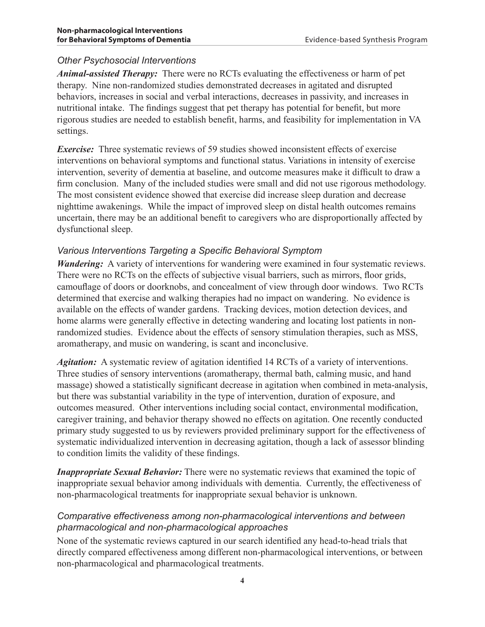#### *Other Psychosocial Interventions*

*Animal-assisted Therapy:* There were no RCTs evaluating the effectiveness or harm of pet therapy. Nine non-randomized studies demonstrated decreases in agitated and disrupted behaviors, increases in social and verbal interactions, decreases in passivity, and increases in nutritional intake. The findings suggest that pet therapy has potential for benefit, but more rigorous studies are needed to establish benefit, harms, and feasibility for implementation in VA settings.

*Exercise:* Three systematic reviews of 59 studies showed inconsistent effects of exercise interventions on behavioral symptoms and functional status. Variations in intensity of exercise intervention, severity of dementia at baseline, and outcome measures make it difficult to draw a firm conclusion. Many of the included studies were small and did not use rigorous methodology. The most consistent evidence showed that exercise did increase sleep duration and decrease nighttime awakenings. While the impact of improved sleep on distal health outcomes remains uncertain, there may be an additional benefit to caregivers who are disproportionally affected by dysfunctional sleep.

#### *Various Interventions Targeting a Specific Behavioral Symptom*

*Wandering:* A variety of interventions for wandering were examined in four systematic reviews. There were no RCTs on the effects of subjective visual barriers, such as mirrors, floor grids, camouflage of doors or doorknobs, and concealment of view through door windows. Two RCTs determined that exercise and walking therapies had no impact on wandering. No evidence is available on the effects of wander gardens. Tracking devices, motion detection devices, and home alarms were generally effective in detecting wandering and locating lost patients in nonrandomized studies. Evidence about the effects of sensory stimulation therapies, such as MSS, aromatherapy, and music on wandering, is scant and inconclusive.

*Agitation:* A systematic review of agitation identified 14 RCTs of a variety of interventions. Three studies of sensory interventions (aromatherapy, thermal bath, calming music, and hand massage) showed a statistically significant decrease in agitation when combined in meta-analysis, but there was substantial variability in the type of intervention, duration of exposure, and outcomes measured. Other interventions including social contact, environmental modification, caregiver training, and behavior therapy showed no effects on agitation. One recently conducted primary study suggested to us by reviewers provided preliminary support for the effectiveness of systematic individualized intervention in decreasing agitation, though a lack of assessor blinding to condition limits the validity of these findings.

*Inappropriate Sexual Behavior:* There were no systematic reviews that examined the topic of inappropriate sexual behavior among individuals with dementia. Currently, the effectiveness of non-pharmacological treatments for inappropriate sexual behavior is unknown.

#### *Comparative effectiveness among non-pharmacological interventions and between pharmacological and non-pharmacological approaches*

None of the systematic reviews captured in our search identified any head-to-head trials that directly compared effectiveness among different non-pharmacological interventions, or between non-pharmacological and pharmacological treatments.